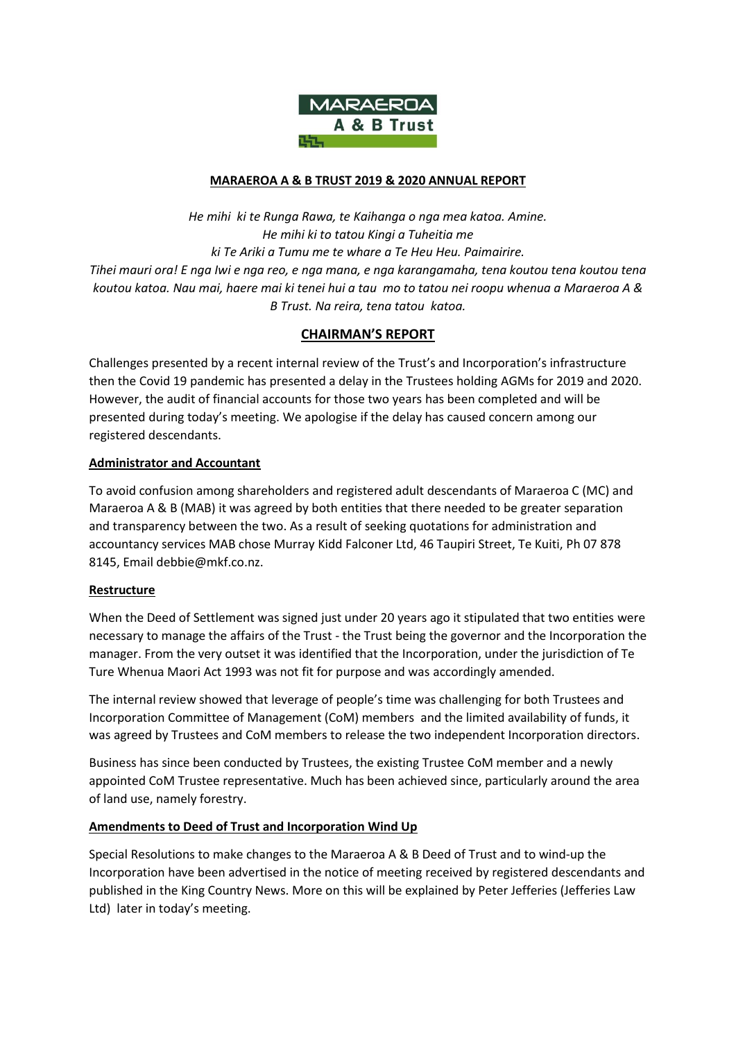

#### **MARAEROA A & B TRUST 2019 & 2020 ANNUAL REPORT**

*He mihi ki te Runga Rawa, te Kaihanga o nga mea katoa. Amine. He mihi ki to tatou Kingi a Tuheitia me ki Te Ariki a Tumu me te whare a Te Heu Heu. Paimairire. Tihei mauri ora! E nga Iwi e nga reo, e nga mana, e nga karangamaha, tena koutou tena koutou tena koutou katoa. Nau mai, haere mai ki tenei hui a tau mo to tatou nei roopu whenua a Maraeroa A & B Trust. Na reira, tena tatou katoa.*

# **CHAIRMAN'S REPORT**

Challenges presented by a recent internal review of the Trust's and Incorporation's infrastructure then the Covid 19 pandemic has presented a delay in the Trustees holding AGMs for 2019 and 2020. However, the audit of financial accounts for those two years has been completed and will be presented during today's meeting. We apologise if the delay has caused concern among our registered descendants.

## **Administrator and Accountant**

To avoid confusion among shareholders and registered adult descendants of Maraeroa C (MC) and Maraeroa A & B (MAB) it was agreed by both entities that there needed to be greater separation and transparency between the two. As a result of seeking quotations for administration and accountancy services MAB chose Murray Kidd Falconer Ltd, 46 Taupiri Street, Te Kuiti, Ph 07 878 8145, Email debbie@mkf.co.nz.

#### **Restructure**

When the Deed of Settlement was signed just under 20 years ago it stipulated that two entities were necessary to manage the affairs of the Trust - the Trust being the governor and the Incorporation the manager. From the very outset it was identified that the Incorporation, under the jurisdiction of Te Ture Whenua Maori Act 1993 was not fit for purpose and was accordingly amended.

The internal review showed that leverage of people's time was challenging for both Trustees and Incorporation Committee of Management (CoM) members and the limited availability of funds, it was agreed by Trustees and CoM members to release the two independent Incorporation directors.

Business has since been conducted by Trustees, the existing Trustee CoM member and a newly appointed CoM Trustee representative. Much has been achieved since, particularly around the area of land use, namely forestry.

#### **Amendments to Deed of Trust and Incorporation Wind Up**

Special Resolutions to make changes to the Maraeroa A & B Deed of Trust and to wind-up the Incorporation have been advertised in the notice of meeting received by registered descendants and published in the King Country News. More on this will be explained by Peter Jefferies (Jefferies Law Ltd) later in today's meeting.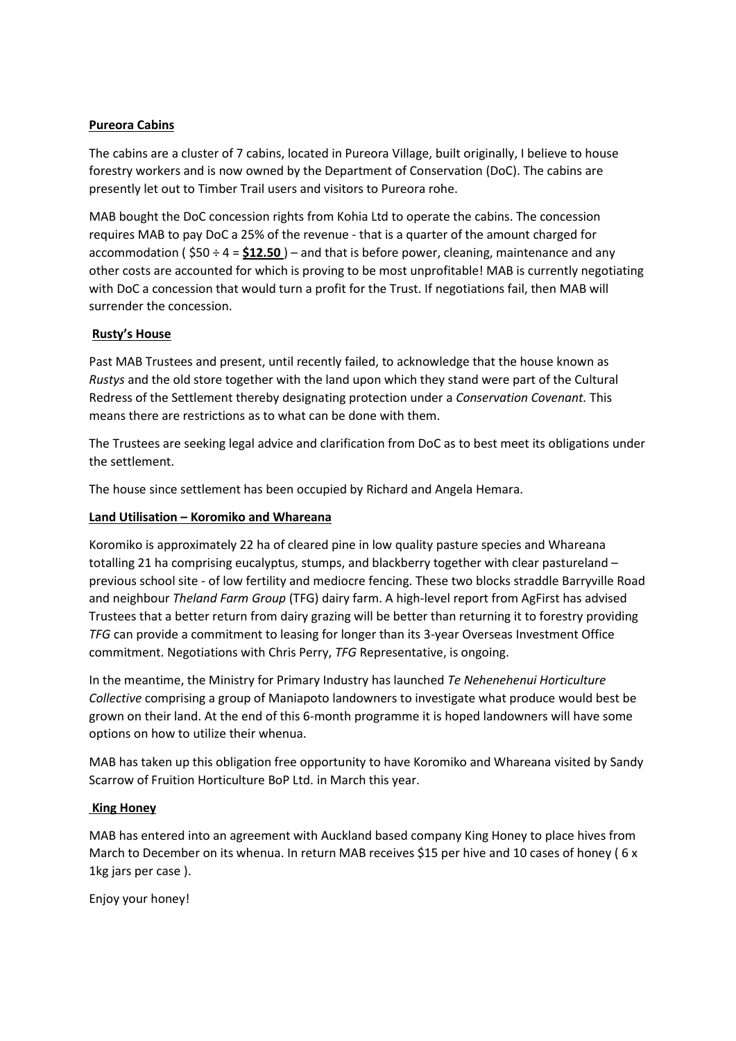## **Pureora Cabins**

The cabins are a cluster of 7 cabins, located in Pureora Village, built originally, I believe to house forestry workers and is now owned by the Department of Conservation (DoC). The cabins are presently let out to Timber Trail users and visitors to Pureora rohe.

MAB bought the DoC concession rights from Kohia Ltd to operate the cabins. The concession requires MAB to pay DoC a 25% of the revenue - that is a quarter of the amount charged for accommodation ( \$50 ÷ 4 = **\$12.50** ) – and that is before power, cleaning, maintenance and any other costs are accounted for which is proving to be most unprofitable! MAB is currently negotiating with DoC a concession that would turn a profit for the Trust. If negotiations fail, then MAB will surrender the concession.

## **Rusty's House**

Past MAB Trustees and present, until recently failed, to acknowledge that the house known as *Rustys* and the old store together with the land upon which they stand were part of the Cultural Redress of the Settlement thereby designating protection under a *Conservation Covenant.* This means there are restrictions as to what can be done with them.

The Trustees are seeking legal advice and clarification from DoC as to best meet its obligations under the settlement.

The house since settlement has been occupied by Richard and Angela Hemara.

## **Land Utilisation – Koromiko and Whareana**

Koromiko is approximately 22 ha of cleared pine in low quality pasture species and Whareana totalling 21 ha comprising eucalyptus, stumps, and blackberry together with clear pastureland – previous school site - of low fertility and mediocre fencing. These two blocks straddle Barryville Road and neighbour *Theland Farm Group* (TFG) dairy farm. A high-level report from AgFirst has advised Trustees that a better return from dairy grazing will be better than returning it to forestry providing *TFG* can provide a commitment to leasing for longer than its 3-year Overseas Investment Office commitment. Negotiations with Chris Perry, *TFG* Representative, is ongoing.

In the meantime, the Ministry for Primary Industry has launched *Te Nehenehenui Horticulture Collective* comprising a group of Maniapoto landowners to investigate what produce would best be grown on their land. At the end of this 6-month programme it is hoped landowners will have some options on how to utilize their whenua.

MAB has taken up this obligation free opportunity to have Koromiko and Whareana visited by Sandy Scarrow of Fruition Horticulture BoP Ltd. in March this year.

#### **King Honey**

MAB has entered into an agreement with Auckland based company King Honey to place hives from March to December on its whenua. In return MAB receives \$15 per hive and 10 cases of honey (6 x 1kg jars per case ).

Enjoy your honey!